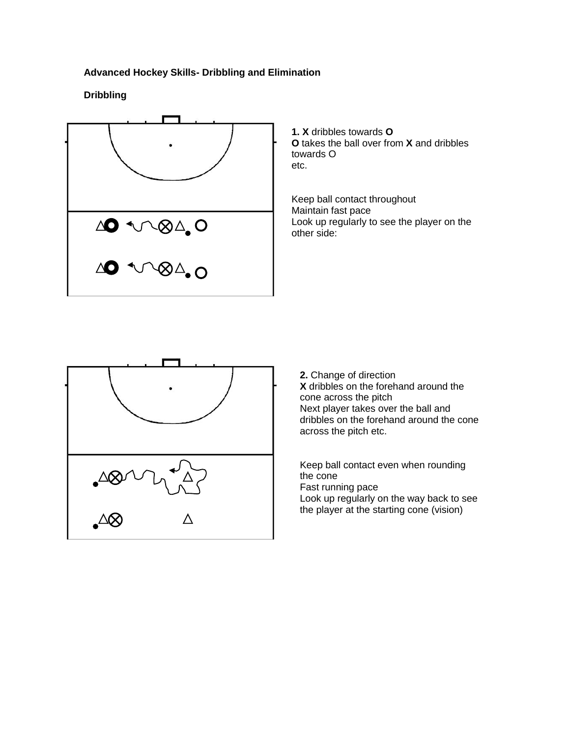# **Advanced Hockey Skills- Dribbling and Elimination**

#### **Dribbling**



**1. X** dribbles towards **O O** takes the ball over from **X** and dribbles towards O etc.

Keep ball contact throughout Maintain fast pace Look up regularly to see the player on the other side:



**2.** Change of direction **X** dribbles on the forehand around the cone across the pitch Next player takes over the ball and dribbles on the forehand around the cone across the pitch etc.

Keep ball contact even when rounding the cone Fast running pace Look up regularly on the way back to see the player at the starting cone (vision)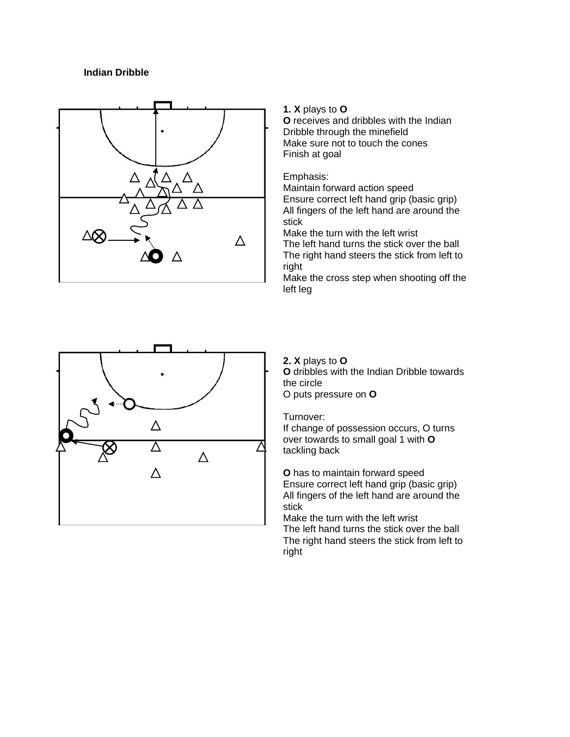# **Indian Dribble**



#### **1. X** plays to **O**

**O** receives and dribbles with the Indian Dribble through the minefield Make sure not to touch the cones Finish at goal

#### Emphasis:

Maintain forward action speed Ensure correct left hand grip (basic grip) All fingers of the left hand are around the stick

Make the turn with the left wrist The left hand turns the stick over the ball The right hand steers the stick from left to right

Make the cross step when shooting off the left leg



#### **2. X** plays to **O**

**O** dribbles with the Indian Dribble towards the circle O puts pressure on **O**

#### Turnover:

If change of possession occurs, O turns over towards to small goal 1 with **O** tackling back

**O** has to maintain forward speed Ensure correct left hand grip (basic grip) All fingers of the left hand are around the stick

Make the turn with the left wrist The left hand turns the stick over the ball The right hand steers the stick from left to right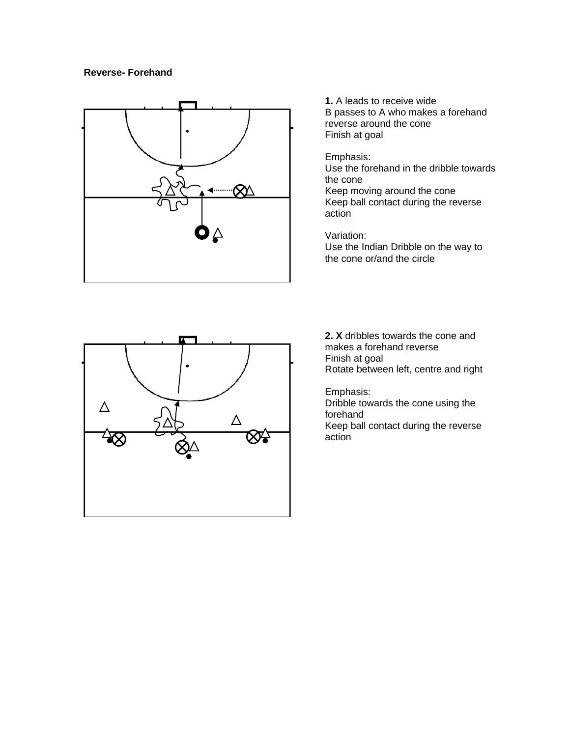### **Reverse- Forehand**



**1.** A leads to receive wide B passes to A who makes a forehand reverse around the cone Finish at goal

#### Emphasis:

Use the forehand in the dribble towards the cone Keep moving around the cone Keep ball contact during the reverse action

Variation:

Use the Indian Dribble on the way to the cone or/and the circle



**2. X** dribbles towards the cone and makes a forehand reverse Finish at goal Rotate between left, centre and right

Emphasis:

Dribble towards the cone using the forehand

Keep ball contact during the reverse action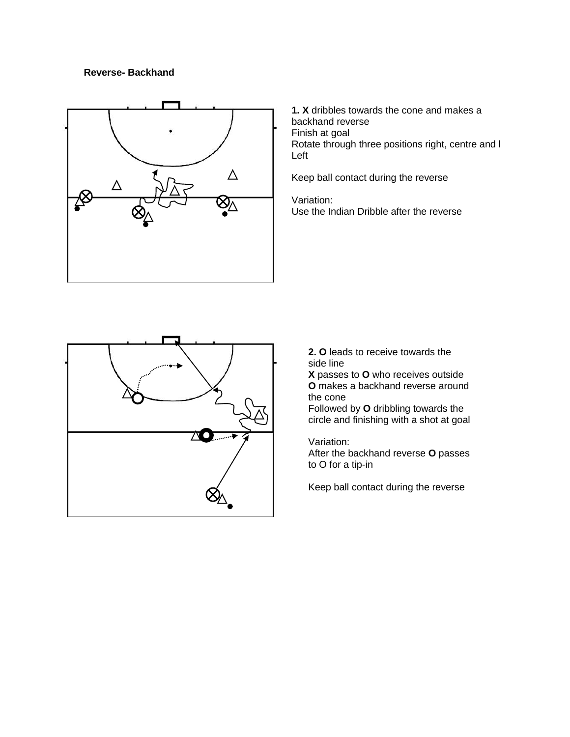## **Reverse- Backhand**



**1. X** dribbles towards the cone and makes a backhand reverse Finish at goal Rotate through three positions right, centre and l Left

Keep ball contact during the reverse

Variation: Use the Indian Dribble after the reverse



**2. O** leads to receive towards the side line

**X** passes to **O** who receives outside **O** makes a backhand reverse around the cone

Followed by **O** dribbling towards the circle and finishing with a shot at goal

Variation:

After the backhand reverse **O** passes to O for a tip-in

Keep ball contact during the reverse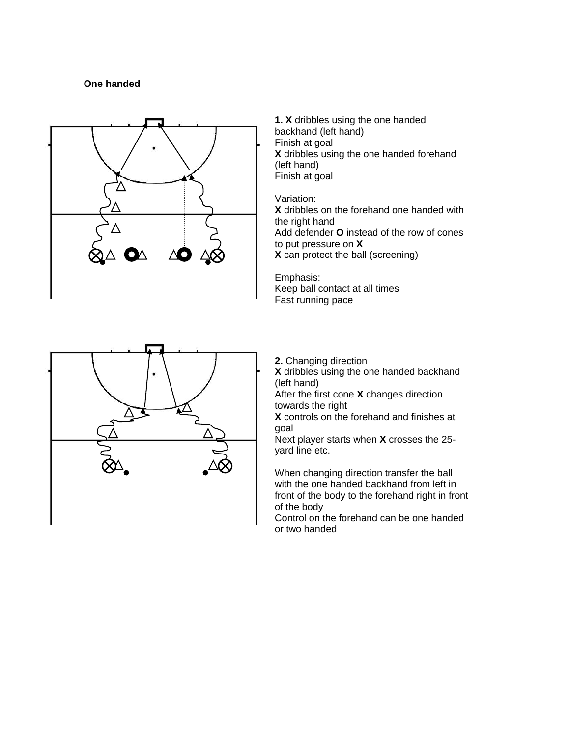# **One handed**



**1. X** dribbles using the one handed backhand (left hand) Finish at goal **X** dribbles using the one handed forehand (left hand) Finish at goal

Variation: **X** dribbles on the forehand one handed with the right hand Add defender **O** instead of the row of cones to put pressure on **X X** can protect the ball (screening)

Emphasis: Keep ball contact at all times Fast running pace



**2.** Changing direction

**X** dribbles using the one handed backhand (left hand)

After the first cone **X** changes direction towards the right

**X** controls on the forehand and finishes at goal

Next player starts when **X** crosses the 25 yard line etc.

When changing direction transfer the ball with the one handed backhand from left in front of the body to the forehand right in front of the body

Control on the forehand can be one handed or two handed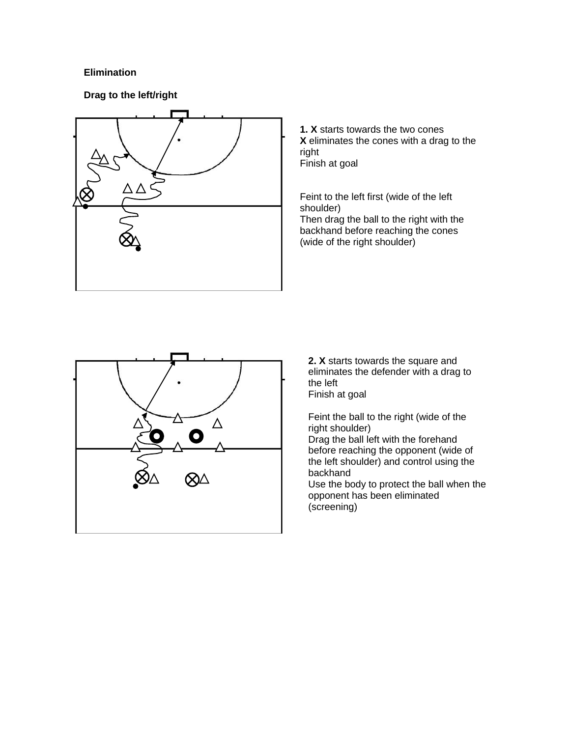# **Elimination**

**Drag to the left/right**



**1. X** starts towards the two cones **X** eliminates the cones with a drag to the right Finish at goal

Feint to the left first (wide of the left shoulder) Then drag the ball to the right with the backhand before reaching the cones (wide of the right shoulder)



**2. X** starts towards the square and eliminates the defender with a drag to the left Finish at goal

Feint the ball to the right (wide of the right shoulder)

Drag the ball left with the forehand before reaching the opponent (wide of the left shoulder) and control using the backhand

Use the body to protect the ball when the opponent has been eliminated (screening)